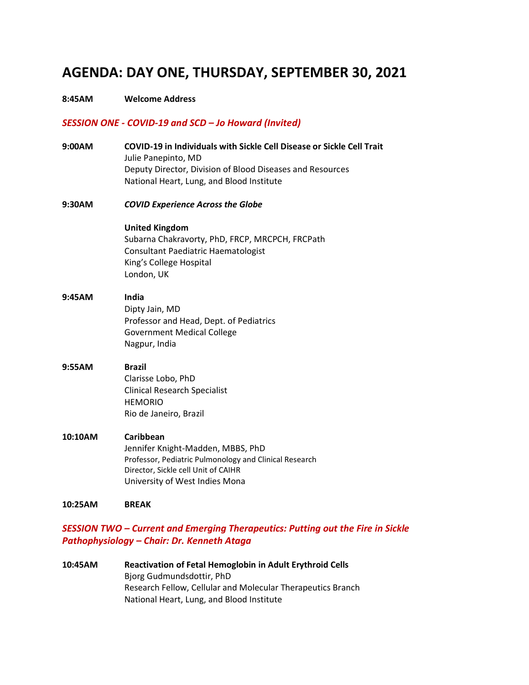## **AGENDA: DAY ONE, THURSDAY, SEPTEMBER 30, 2021**

### **8:45AM Welcome Address**

### *SESSION ONE - COVID-19 and SCD – Jo Howard (Invited)*

- **9:00AM COVID-19 in Individuals with Sickle Cell Disease or Sickle Cell Trait**  Julie Panepinto, MD Deputy Director, Division of Blood Diseases and Resources National Heart, Lung, and Blood Institute
- **9:30AM** *COVID Experience Across the Globe*

### **United Kingdom**

 Subarna Chakravorty, PhD, FRCP, MRCPCH, FRCPath Consultant Paediatric Haematologist King's College Hospital London, UK

## **9:45AM India**  Dipty Jain, MD Professor and Head, Dept. of Pediatrics Government Medical College Nagpur, India

## **9:55AM Brazil**  Clarisse Lobo, PhD Clinical Research Specialist HEMORIO Rio de Janeiro, Brazil

### **10:10AM Caribbean**  Jennifer Knight-Madden, MBBS, PhD Professor, Pediatric Pulmonology and Clinical Research Director, Sickle cell Unit of CAIHR University of West Indies Mona

#### **10:25AM BREAK**

## *SESSION TWO – Current and Emerging Therapeutics: Putting out the Fire in Sickle Pathophysiology – Chair: Dr. Kenneth Ataga*

```
10:45AM Reactivation of Fetal Hemoglobin in Adult Erythroid Cells 
    Bjorg Gudmundsdottir, PhD 
    Research Fellow, Cellular and Molecular Therapeutics Branch 
    National Heart, Lung, and Blood Institute
```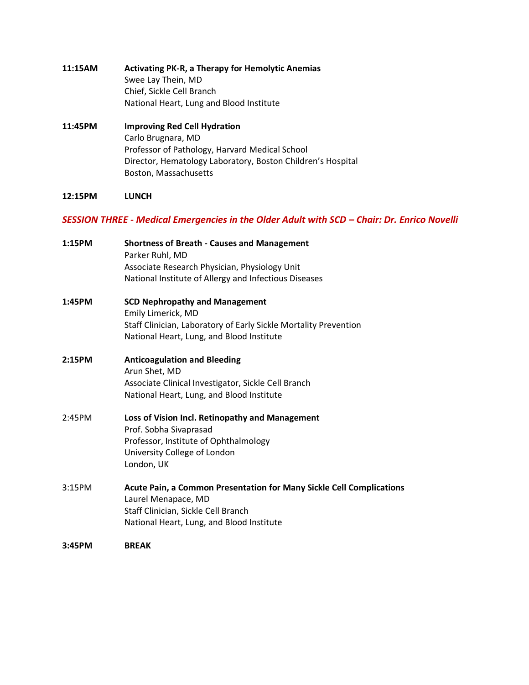- **11:15AM Activating PK-R, a Therapy for Hemolytic Anemias**  Swee Lay Thein, MD Chief, Sickle Cell Branch National Heart, Lung and Blood Institute
- **11:45PM Improving Red Cell Hydration**  Carlo Brugnara, MD Professor of Pathology, Harvard Medical School Director, Hematology Laboratory, Boston Children's Hospital Boston, Massachusetts

### **12:15PM LUNCH**

### *SESSION THREE - Medical Emergencies in the Older Adult with SCD – Chair: Dr. Enrico Novelli*

| 1:15PM | <b>Shortness of Breath - Causes and Management</b><br>Parker Ruhl, MD<br>Associate Research Physician, Physiology Unit<br>National Institute of Allergy and Infectious Diseases |
|--------|---------------------------------------------------------------------------------------------------------------------------------------------------------------------------------|
| 1:45PM | <b>SCD Nephropathy and Management</b><br>Emily Limerick, MD<br>Staff Clinician, Laboratory of Early Sickle Mortality Prevention<br>National Heart, Lung, and Blood Institute    |
| 2:15PM | <b>Anticoagulation and Bleeding</b><br>Arun Shet, MD<br>Associate Clinical Investigator, Sickle Cell Branch<br>National Heart, Lung, and Blood Institute                        |
| 2:45PM | Loss of Vision Incl. Retinopathy and Management<br>Prof. Sobha Sivaprasad<br>Professor, Institute of Ophthalmology<br>University College of London<br>London, UK                |
| 3:15PM | Acute Pain, a Common Presentation for Many Sickle Cell Complications<br>Laurel Menapace, MD<br>Staff Clinician, Sickle Cell Branch<br>National Heart, Lung, and Blood Institute |
| 3:45PM | <b>BREAK</b>                                                                                                                                                                    |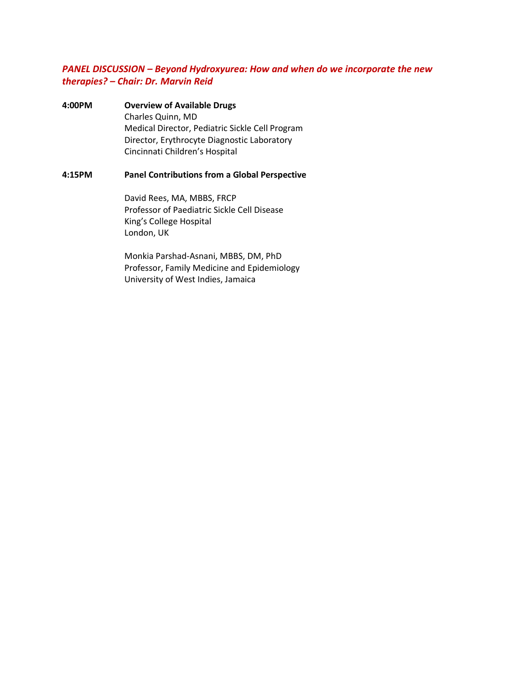### *PANEL DISCUSSION – Beyond Hydroxyurea: How and when do we incorporate the new therapies? – Chair: Dr. Marvin Reid*

**4:00PM Overview of Available Drugs**  Charles Quinn, MD Medical Director, Pediatric Sickle Cell Program Director, Erythrocyte Diagnostic Laboratory Cincinnati Children's Hospital

### **4:15PM Panel Contributions from a Global Perspective**

 David Rees, MA, MBBS, FRCP Professor of Paediatric Sickle Cell Disease King's College Hospital London, UK

Monkia Parshad-Asnani, MBBS, DM, PhD Professor, Family Medicine and Epidemiology University of West Indies, Jamaica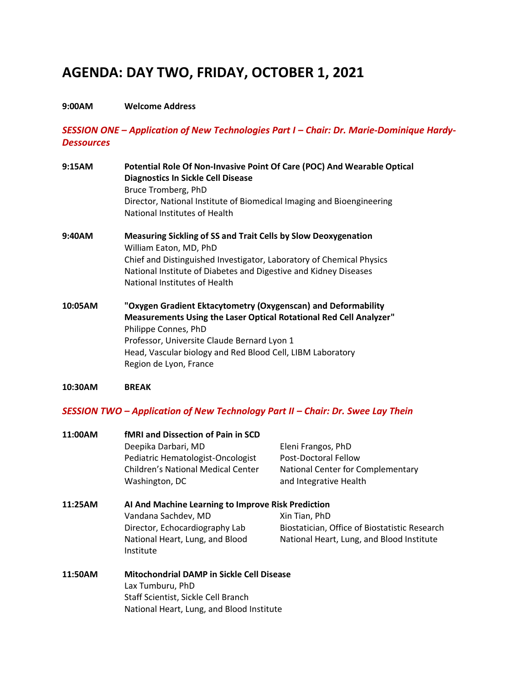# **AGENDA: DAY TWO, FRIDAY, OCTOBER 1, 2021**

### **9:00AM Welcome Address**

*SESSION ONE – Application of New Technologies Part I – Chair: Dr. Marie-Dominique Hardy-Dessources* 

| 9:15AM  | Potential Role Of Non-Invasive Point Of Care (POC) And Wearable Optical<br><b>Diagnostics In Sickle Cell Disease</b><br>Bruce Tromberg, PhD<br>Director, National Institute of Biomedical Imaging and Bioengineering<br>National Institutes of Health                                              |
|---------|----------------------------------------------------------------------------------------------------------------------------------------------------------------------------------------------------------------------------------------------------------------------------------------------------|
| 9:40AM  | <b>Measuring Sickling of SS and Trait Cells by Slow Deoxygenation</b><br>William Eaton, MD, PhD<br>Chief and Distinguished Investigator, Laboratory of Chemical Physics<br>National Institute of Diabetes and Digestive and Kidney Diseases<br>National Institutes of Health                       |
| 10:05AM | "Oxygen Gradient Ektacytometry (Oxygenscan) and Deformability<br>Measurements Using the Laser Optical Rotational Red Cell Analyzer"<br>Philippe Connes, PhD<br>Professor, Universite Claude Bernard Lyon 1<br>Head, Vascular biology and Red Blood Cell, LIBM Laboratory<br>Region de Lyon, France |

### **10:30AM BREAK**

## *SESSION TWO – Application of New Technology Part II – Chair: Dr. Swee Lay Thein*

| 11:00AM | <b>fMRI and Dissection of Pain in SCD</b>          |                                               |  |  |
|---------|----------------------------------------------------|-----------------------------------------------|--|--|
|         | Deepika Darbari, MD                                | Eleni Frangos, PhD                            |  |  |
|         | Pediatric Hematologist-Oncologist                  | Post-Doctoral Fellow                          |  |  |
|         | <b>Children's National Medical Center</b>          | National Center for Complementary             |  |  |
|         | Washington, DC                                     | and Integrative Health                        |  |  |
| 11:25AM | Al And Machine Learning to Improve Risk Prediction |                                               |  |  |
|         | Vandana Sachdev, MD                                | Xin Tian, PhD                                 |  |  |
|         | Director, Echocardiography Lab                     | Biostatician, Office of Biostatistic Research |  |  |
|         | National Heart, Lung, and Blood                    | National Heart, Lung, and Blood Institute     |  |  |
|         | Institute                                          |                                               |  |  |
| 11:50AM | <b>Mitochondrial DAMP in Sickle Cell Disease</b>   |                                               |  |  |
|         | Lax Tumburu, PhD                                   |                                               |  |  |
|         | Staff Scientist, Sickle Cell Branch                |                                               |  |  |
|         | National Heart, Lung, and Blood Institute          |                                               |  |  |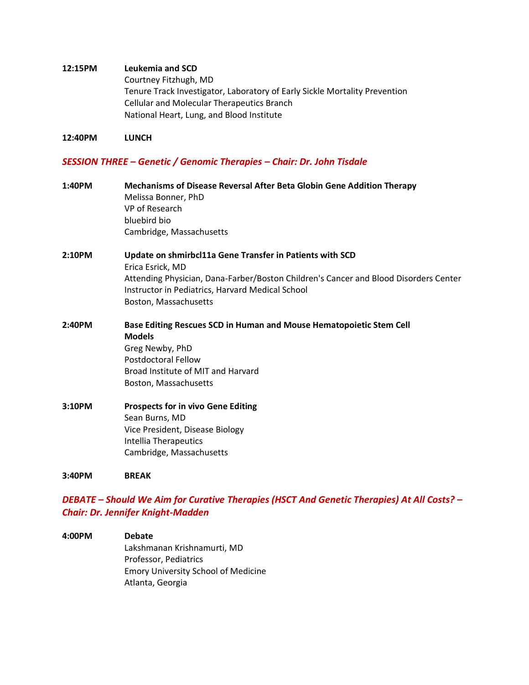### **12:15PM Leukemia and SCD**

Courtney Fitzhugh, MD Tenure Track Investigator, Laboratory of Early Sickle Mortality Prevention Cellular and Molecular Therapeutics Branch National Heart, Lung, and Blood Institute

### **12:40PM LUNCH**

### *SESSION THREE – Genetic / Genomic Therapies – Chair: Dr. John Tisdale*

| 1:40PM | Mechanisms of Disease Reversal After Beta Globin Gene Addition Therapy<br>Melissa Bonner, PhD<br>VP of Research<br>bluebird bio<br>Cambridge, Massachusetts                                          |
|--------|------------------------------------------------------------------------------------------------------------------------------------------------------------------------------------------------------|
| 2:10PM | Update on shmirbcl11a Gene Transfer in Patients with SCD                                                                                                                                             |
|        | Erica Esrick, MD<br>Attending Physician, Dana-Farber/Boston Children's Cancer and Blood Disorders Center<br>Instructor in Pediatrics, Harvard Medical School<br>Boston, Massachusetts                |
| 2:40PM | Base Editing Rescues SCD in Human and Mouse Hematopoietic Stem Cell<br><b>Models</b><br>Greg Newby, PhD<br><b>Postdoctoral Fellow</b><br>Broad Institute of MIT and Harvard<br>Boston, Massachusetts |
| 3:10PM | <b>Prospects for in vivo Gene Editing</b><br>Sean Burns, MD<br>Vice President, Disease Biology<br>Intellia Therapeutics<br>Cambridge, Massachusetts                                                  |
| 3:40PM | <b>BREAK</b>                                                                                                                                                                                         |

## *DEBATE – Should We Aim for Curative Therapies (HSCT And Genetic Therapies) At All Costs? – Chair: Dr. Jennifer Knight-Madden*

**4:00PM Debate**  Lakshmanan Krishnamurti, MD Professor, Pediatrics Emory University School of Medicine Atlanta, Georgia